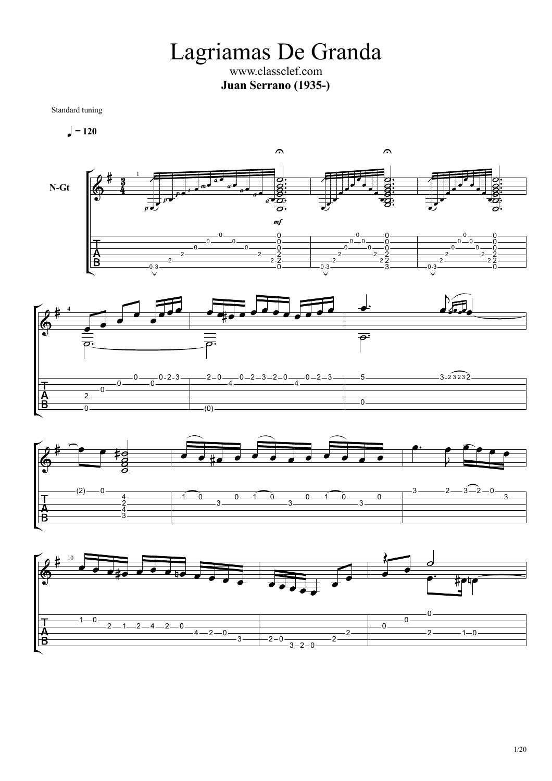## Lagriamas De Granda www.classclef.com

**Juan Serrano (1935-)**

Standard tuning

$$
\blacksquare = 120
$$





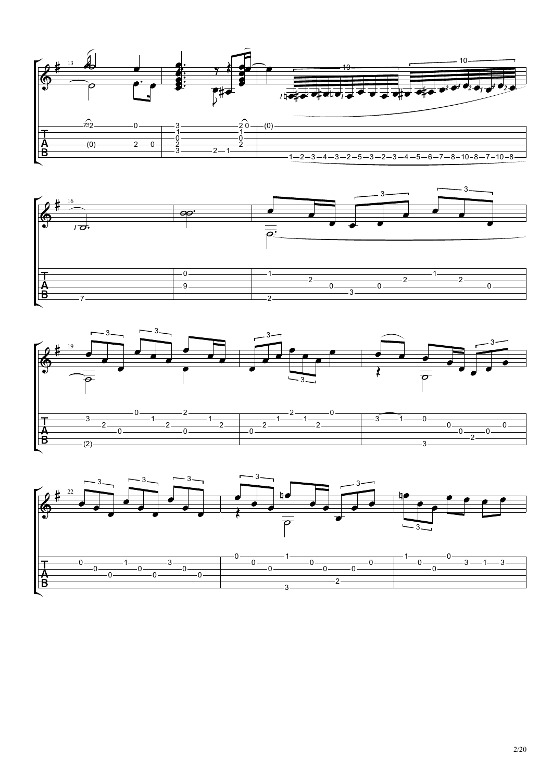





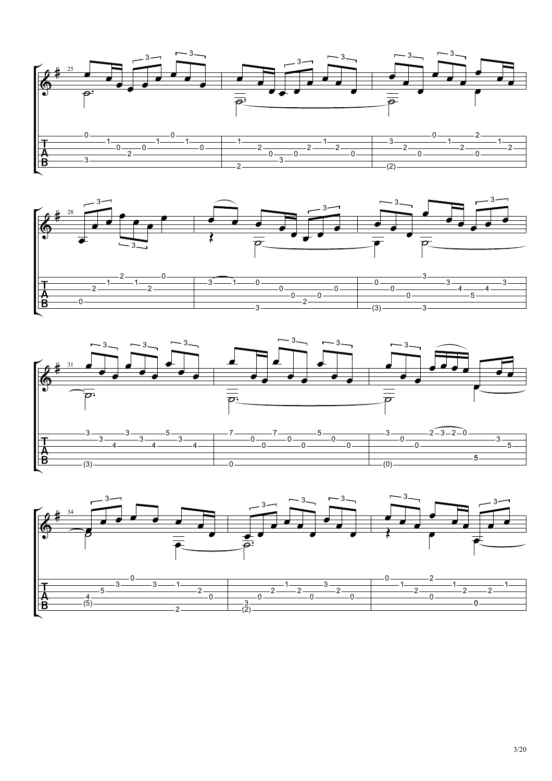





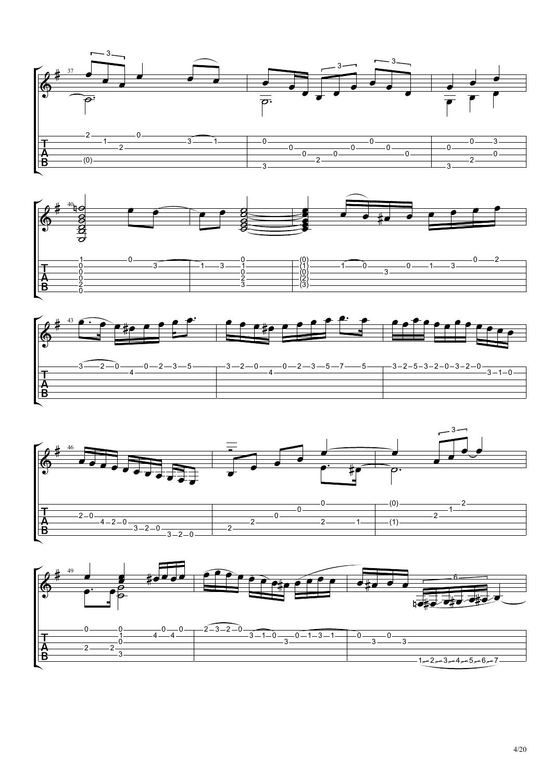







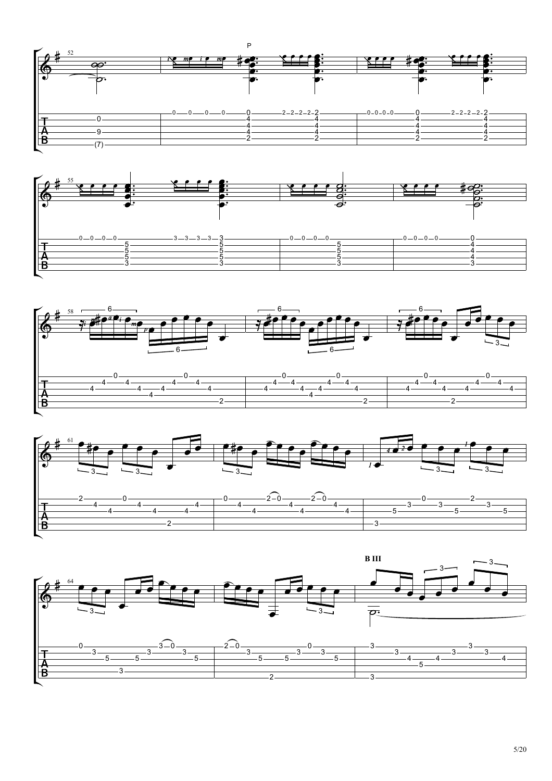







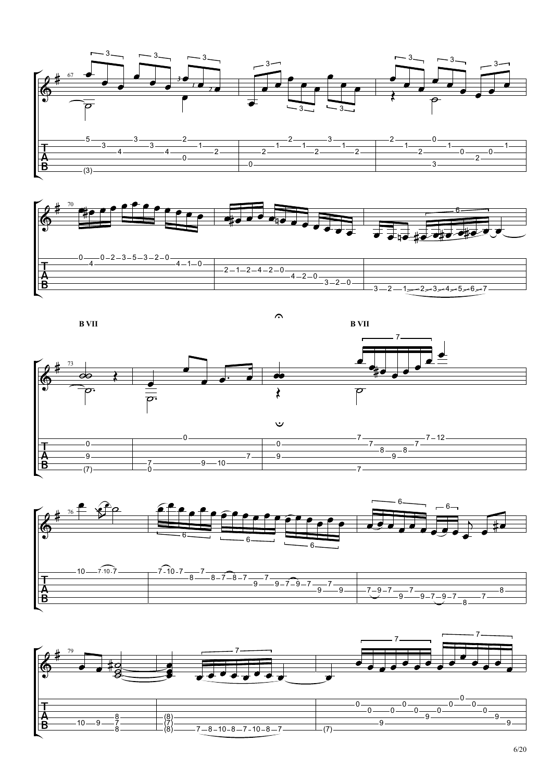







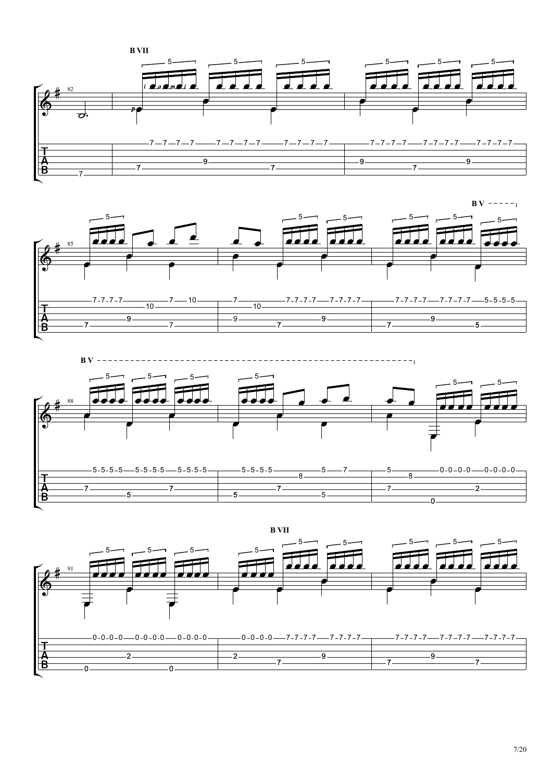





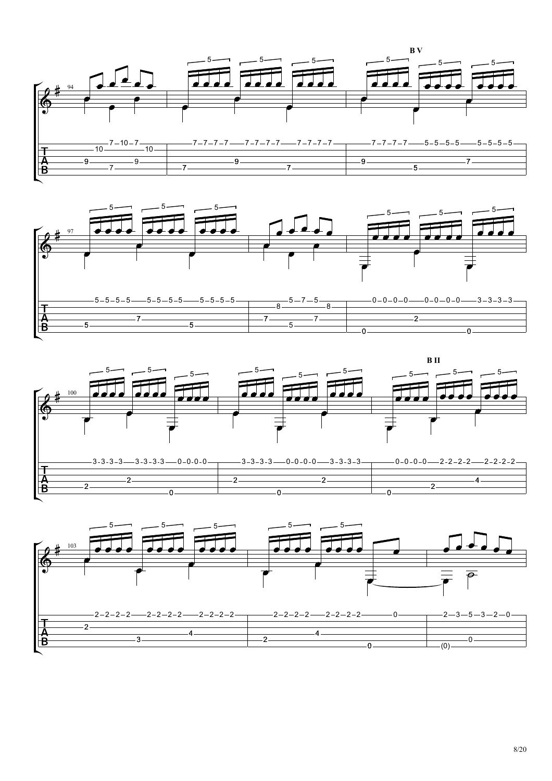





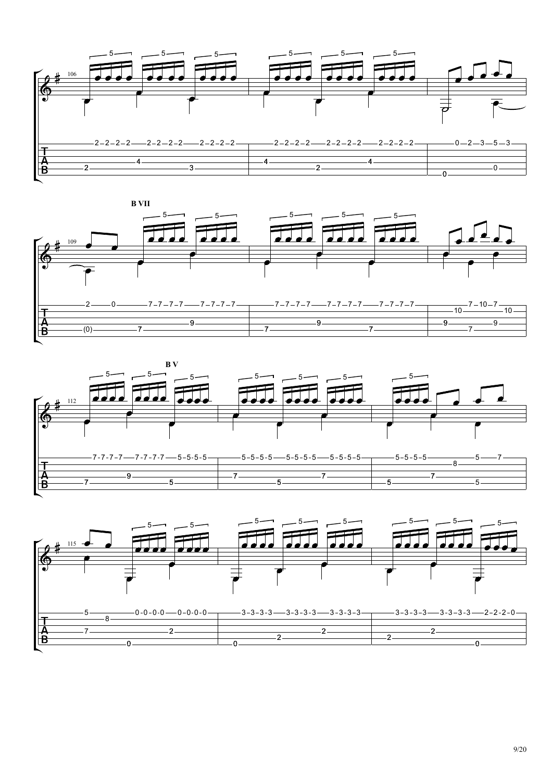







9/20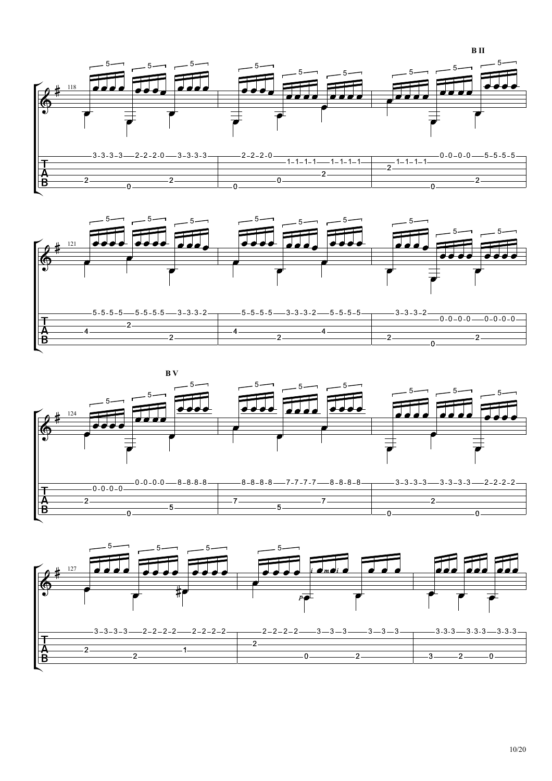







10/20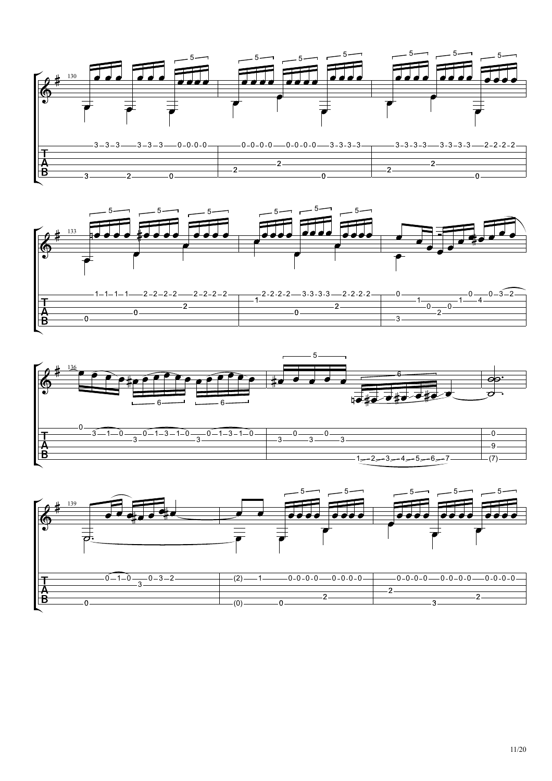





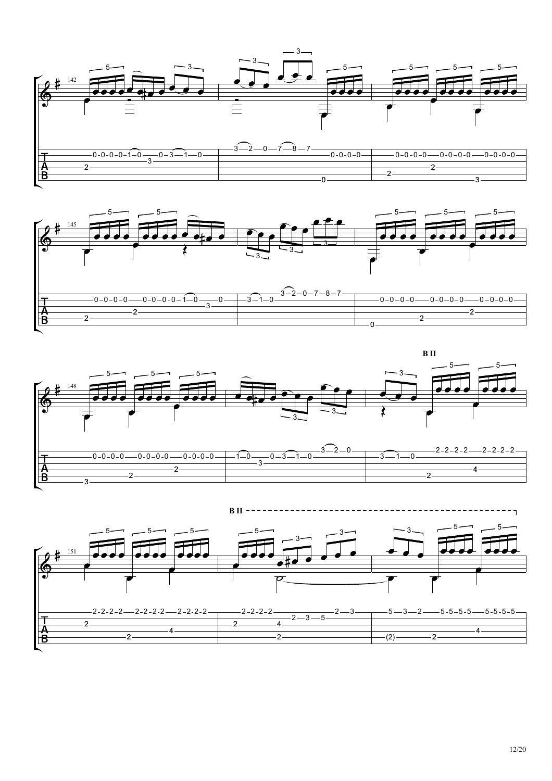





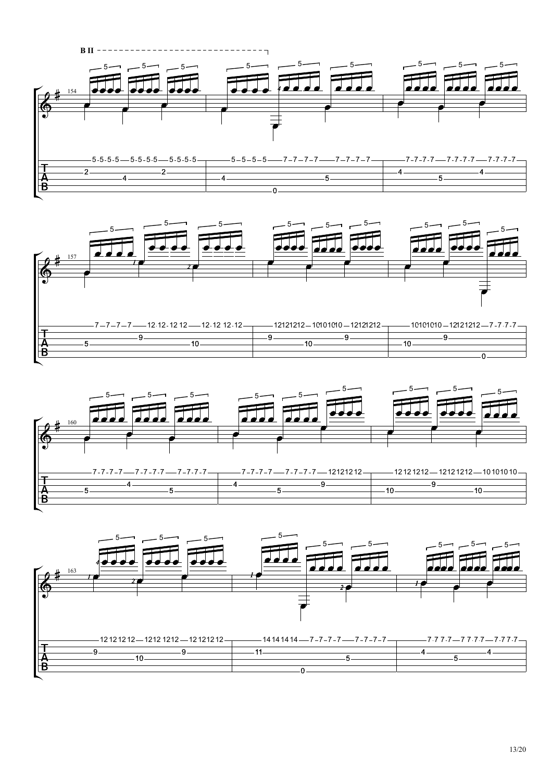





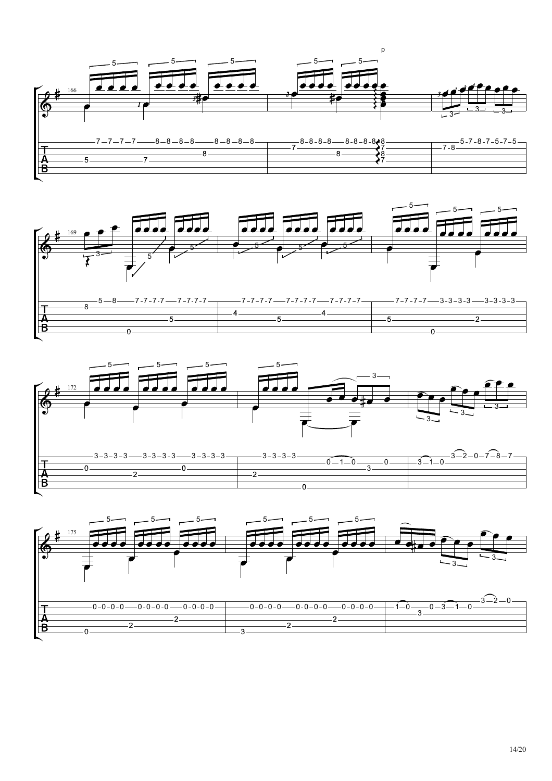







14/20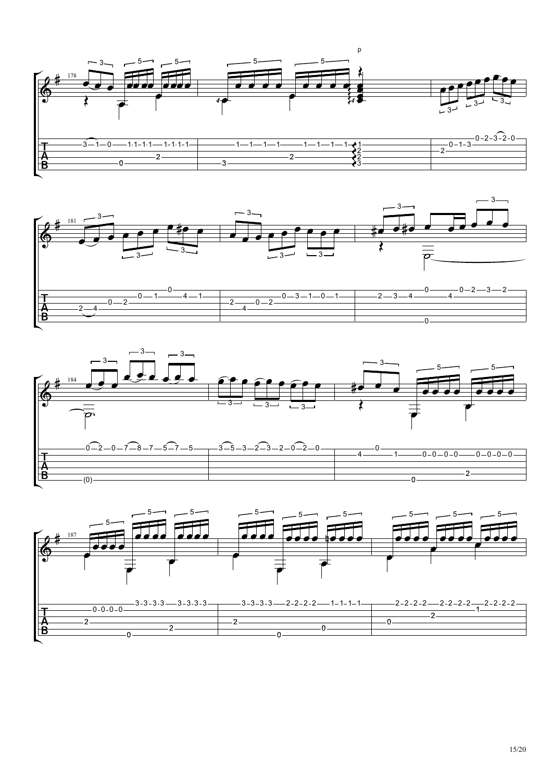





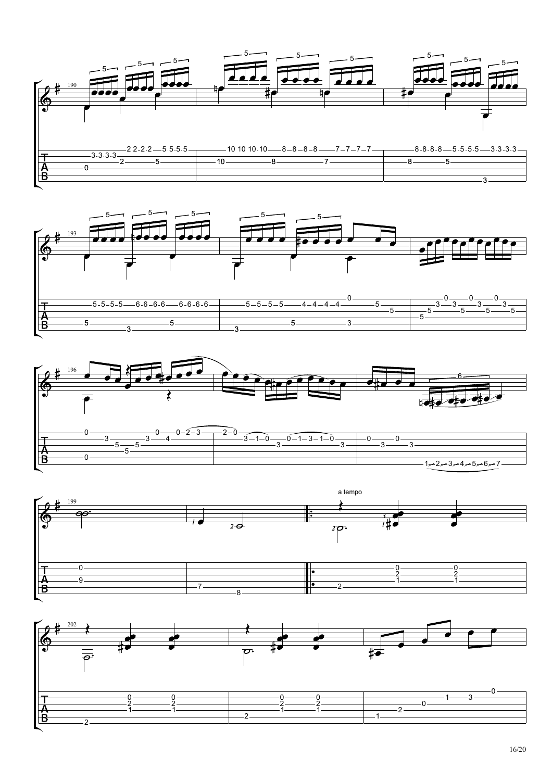







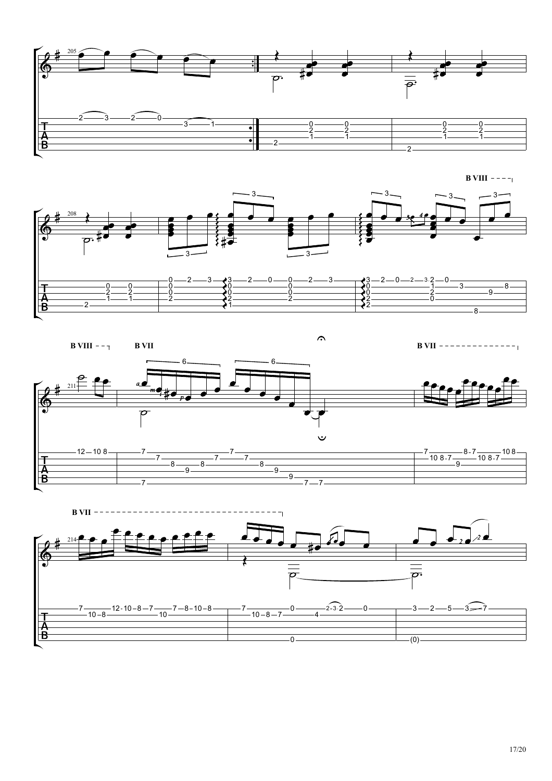

**B VIII**  $---$ 





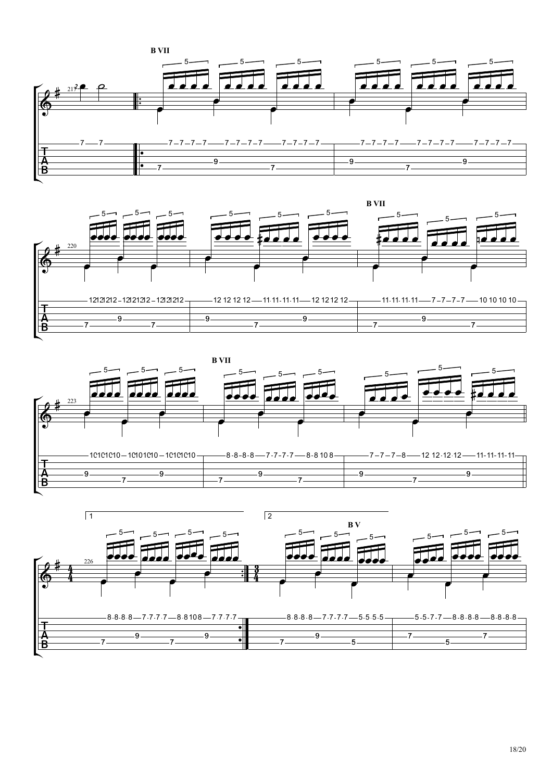





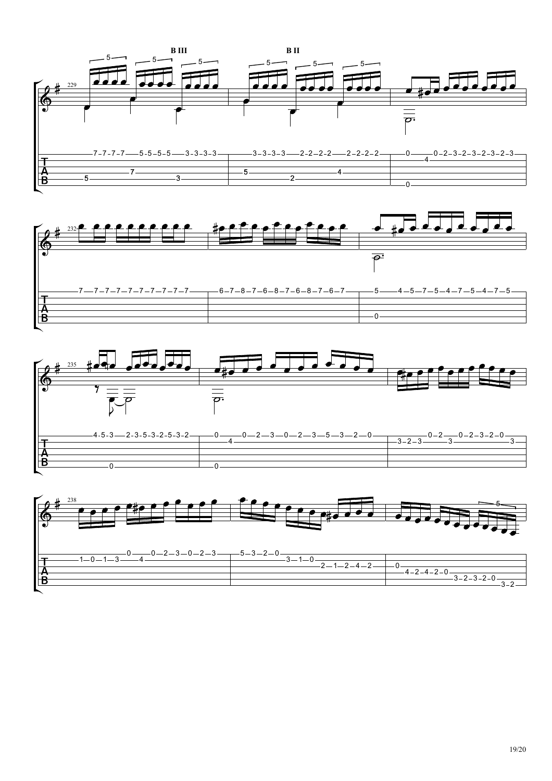